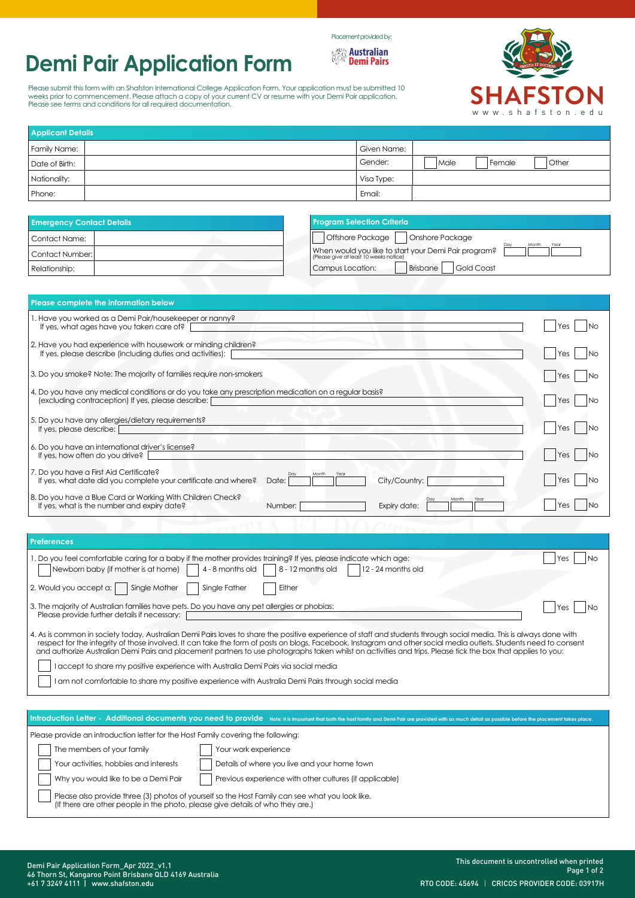# **Demi Pair Application Form**

Please submit this form with an Shafston International College Application Form. Your application must be submitted 10<br>weeks prior to commencement. Please attach a copy of your current CV or resume with your Demi Pair appl Please see terms and conditions for all required documentation.



| <b>Applicant Details</b> |  |             |        |          |               |
|--------------------------|--|-------------|--------|----------|---------------|
| Family Name:             |  | Given Name: |        |          |               |
| Date of Birth:           |  | Gender:     | l Male | l Female | <b>O</b> ther |
| Nationality:             |  | Visa Type:  |        |          |               |
| Phone:                   |  | Email:      |        |          |               |

Placement provided by:*Mustralian*<br>**Demi Pairs** 

| <b>Emergency Contact Details</b> | <b>Program Selection Criteria</b>                                                              |
|----------------------------------|------------------------------------------------------------------------------------------------|
| Contact Name:                    | Offshore Package  <br>Onshore Package<br>Year<br>Month                                         |
| Contact Number: I                | When would you like to start your Demi Pair program?<br>(Please give at least 10 weeks notice) |
| Relationship:                    | Brisbane<br>Gold Coast<br>Campus Location:                                                     |

| Please complete the information below                                                                                                                                                                                  |                     |
|------------------------------------------------------------------------------------------------------------------------------------------------------------------------------------------------------------------------|---------------------|
| 1. Have you worked as a Demi Pair/housekeeper or nanny?<br>If yes, what ages have you taken care of?                                                                                                                   | l No<br>Yes         |
| 2. Have you had experience with housework or minding children?<br>If yes, please describe (including duties and activities):                                                                                           | <b>No</b><br>Yes    |
| 3. Do you smoke? Note: The majority of families require non-smokers                                                                                                                                                    | <b>No</b><br>Yes    |
| 4. Do you have any medical conditions or do you take any prescription medication on a regular basis?<br>(excluding contraception) If yes, please describe: [                                                           | <b>No</b><br>Yes    |
| 5. Do you have any allergies/dietary requirements?<br>If yes, please describe:                                                                                                                                         | <b>No</b><br>Yes    |
| 6. Do you have an international driver's license?<br>If yes, how often do you drive?                                                                                                                                   | l No<br><b>IYes</b> |
| 7. Do you have a First Aid Certificate?<br>City/Country:<br>If yes, what date did you complete your certificate and where?<br>Date:                                                                                    | l No<br>lYes        |
| 8. Do you have a Blue Card or Working With Children Check?<br>Month<br>Year<br>If yes, what is the number and expiry date?<br>Number:<br>Expiry date:                                                                  | <b>No</b><br>Yes    |
|                                                                                                                                                                                                                        |                     |
| <b>Preferences</b>                                                                                                                                                                                                     |                     |
| 1. Do you feel comfortable caring for a baby if the mother provides training? If yes, please indicate which age:<br>Newborn baby (if mother is at home)<br>4 - 8 months old<br>8 - 12 months old<br>12 - 24 months old | Yes<br><b>No</b>    |
| Single Mother<br>Either<br>2. Would you accept a:  <br>Single Father                                                                                                                                                   |                     |
| 3. The majority of Australian families have pets. Do you have any pet allergies or phobias:<br>しかいしょう おうしょう こうしょう こうせいかん しょうこうしょう                                                                                      | Yes<br>No           |

|                                                                                                                                                                     | . |  |
|---------------------------------------------------------------------------------------------------------------------------------------------------------------------|---|--|
| Please provide further details if necessary:                                                                                                                        |   |  |
|                                                                                                                                                                     |   |  |
| 4. As is common in society today, Australian Demi Pairs loves to share the positive experience of staff and students through social media. This is always done with |   |  |
| respect for the integrity of those involved. It can take the form of posts on blogs, Facebook, Instagram and other social media outlets. Students need to consent   |   |  |
| and authorize Australian Demi Pairs and placement partners to use photographs taken whilst on activities and trips. Please tick the box that applies to you:        |   |  |

| I accept to share my positive experience with Australia Demi Pairs via social media |
|-------------------------------------------------------------------------------------|
|                                                                                     |

I am not comfortable to share my positive experience with Australia Demi Pairs through social media

|                                                                                   | Introduction Letter - Additional documents you need to provide Note: It is important that both the host family and Demi Pair are provided with as much detail as possible before the placement takes place. |
|-----------------------------------------------------------------------------------|-------------------------------------------------------------------------------------------------------------------------------------------------------------------------------------------------------------|
| Please provide an introduction letter for the Host Family covering the following: |                                                                                                                                                                                                             |
| The members of your family                                                        | Your work experience                                                                                                                                                                                        |
| Your activities, hobbies and interests                                            | Details of where you live and your home town                                                                                                                                                                |
| Why you would like to be a Demi Pair                                              | Previous experience with other cultures (if applicable)                                                                                                                                                     |
| (If there are other people in the photo, please give details of who they are.)    | Please also provide three (3) photos of yourself so the Host Family can see what you look like.                                                                                                             |